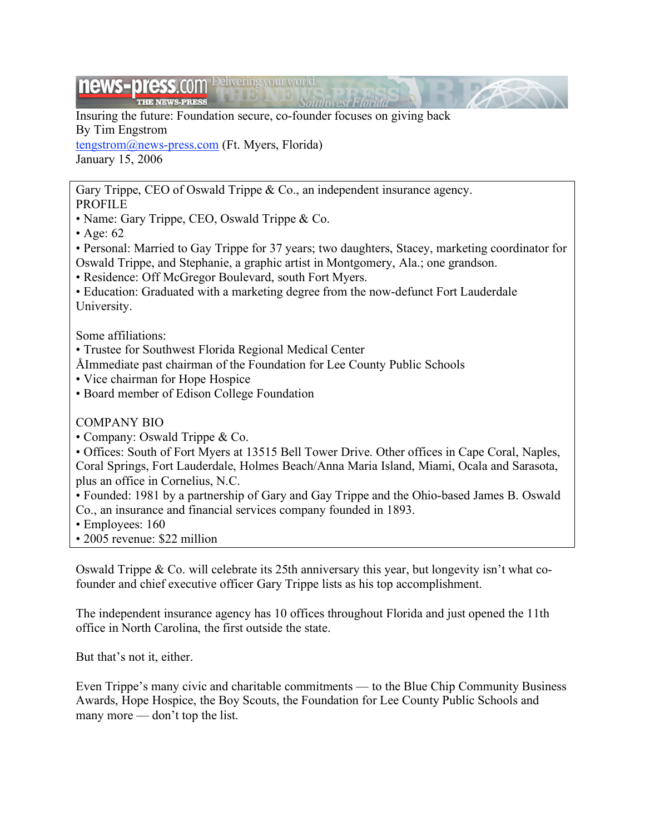#### news-press.co Delivering your world

Insuring the future: Foundation secure, co-founder focuses on giving back By Tim Engstrom

tengstrom@news-press.com (Ft. Myers, Florida) January 15, 2006

Gary Trippe, CEO of Oswald Trippe & Co., an independent insurance agency.

- PROFILE
- Name: Gary Trippe, CEO, Oswald Trippe & Co.
- Age: 62

• Personal: Married to Gay Trippe for 37 years; two daughters, Stacey, marketing coordinator for Oswald Trippe, and Stephanie, a graphic artist in Montgomery, Ala.; one grandson.

onihuway Phoritie

- Residence: Off McGregor Boulevard, south Fort Myers.
- Education: Graduated with a marketing degree from the now-defunct Fort Lauderdale University.

Some affiliations:

- Trustee for Southwest Florida Regional Medical Center
- ÅImmediate past chairman of the Foundation for Lee County Public Schools
- Vice chairman for Hope Hospice
- Board member of Edison College Foundation

# COMPANY BIO

• Company: Oswald Trippe & Co.

• Offices: South of Fort Myers at 13515 Bell Tower Drive. Other offices in Cape Coral, Naples, Coral Springs, Fort Lauderdale, Holmes Beach/Anna Maria Island, Miami, Ocala and Sarasota, plus an office in Cornelius, N.C.

• Founded: 1981 by a partnership of Gary and Gay Trippe and the Ohio-based James B. Oswald Co., an insurance and financial services company founded in 1893.

- Employees: 160
- 2005 revenue: \$22 million

Oswald Trippe & Co. will celebrate its 25th anniversary this year, but longevity isn't what cofounder and chief executive officer Gary Trippe lists as his top accomplishment.

The independent insurance agency has 10 offices throughout Florida and just opened the 11th office in North Carolina, the first outside the state.

But that's not it, either.

Even Trippe's many civic and charitable commitments — to the Blue Chip Community Business Awards, Hope Hospice, the Boy Scouts, the Foundation for Lee County Public Schools and many more — don't top the list.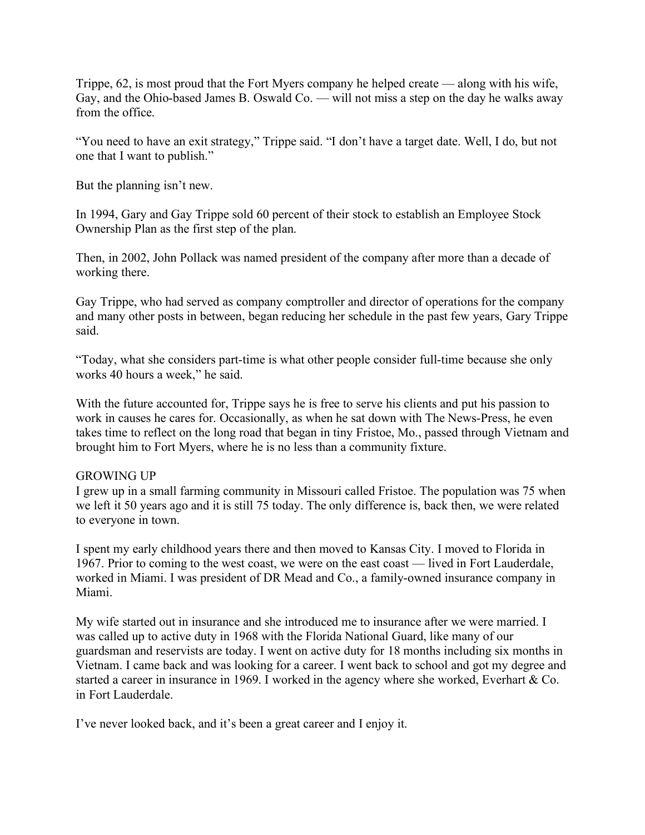Trippe, 62, is most proud that the Fort Myers company he helped create — along with his wife, Gay, and the Ohio-based James B. Oswald Co. — will not miss a step on the day he walks away from the office.

"You need to have an exit strategy," Trippe said. "I don't have a target date. Well, I do, but not one that I want to publish."

But the planning isn't new.

In 1994, Gary and Gay Trippe sold 60 percent of their stock to establish an Employee Stock Ownership Plan as the first step of the plan.

Then, in 2002, John Pollack was named president of the company after more than a decade of working there.

Gay Trippe, who had served as company comptroller and director of operations for the company and many other posts in between, began reducing her schedule in the past few years, Gary Trippe said.

"Today, what she considers part-time is what other people consider full-time because she only works 40 hours a week," he said.

With the future accounted for, Trippe says he is free to serve his clients and put his passion to work in causes he cares for. Occasionally, as when he sat down with The News-Press, he even takes time to reflect on the long road that began in tiny Fristoe, Mo., passed through Vietnam and brought him to Fort Myers, where he is no less than a community fixture.

# GROWING UP

I grew up in a small farming community in Missouri called Fristoe. The population was 75 when we left it 50 years ago and it is still 75 today. The only difference is, back then, we were related to everyone in town.

I spent my early childhood years there and then moved to Kansas City. I moved to Florida in 1967. Prior to coming to the west coast, we were on the east coast — lived in Fort Lauderdale, worked in Miami. I was president of DR Mead and Co., a family-owned insurance company in Miami.

My wife started out in insurance and she introduced me to insurance after we were married. I was called up to active duty in 1968 with the Florida National Guard, like many of our guardsman and reservists are today. I went on active duty for 18 months including six months in Vietnam. I came back and was looking for a career. I went back to school and got my degree and started a career in insurance in 1969. I worked in the agency where she worked, Everhart & Co. in Fort Lauderdale.

I've never looked back, and it's been a great career and I enjoy it.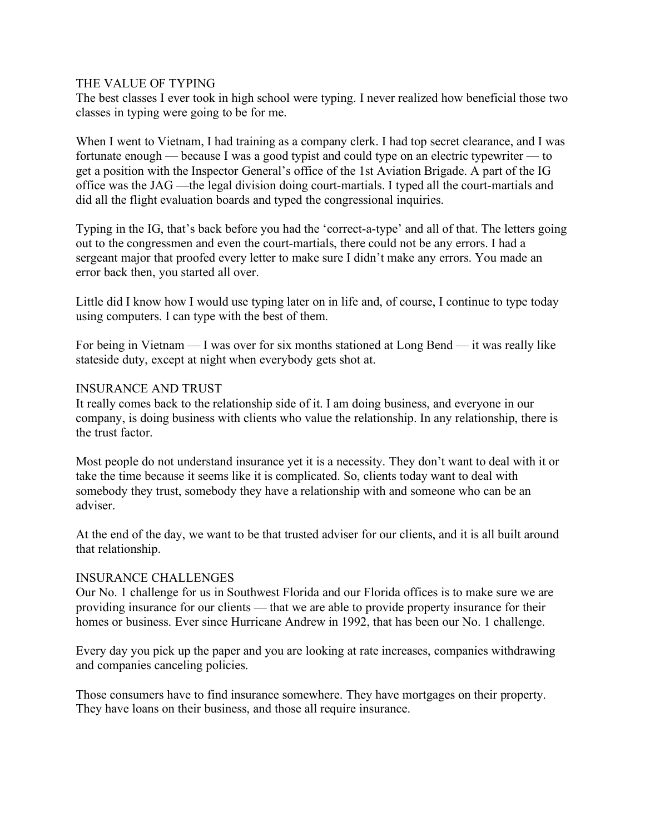## THE VALUE OF TYPING

The best classes I ever took in high school were typing. I never realized how beneficial those two classes in typing were going to be for me.

When I went to Vietnam, I had training as a company clerk. I had top secret clearance, and I was fortunate enough — because I was a good typist and could type on an electric typewriter — to get a position with the Inspector General's office of the 1st Aviation Brigade. A part of the IG office was the JAG —the legal division doing court-martials. I typed all the court-martials and did all the flight evaluation boards and typed the congressional inquiries.

Typing in the IG, that's back before you had the 'correct-a-type' and all of that. The letters going out to the congressmen and even the court-martials, there could not be any errors. I had a sergeant major that proofed every letter to make sure I didn't make any errors. You made an error back then, you started all over.

Little did I know how I would use typing later on in life and, of course, I continue to type today using computers. I can type with the best of them.

For being in Vietnam — I was over for six months stationed at Long Bend — it was really like stateside duty, except at night when everybody gets shot at.

# INSURANCE AND TRUST

It really comes back to the relationship side of it. I am doing business, and everyone in our company, is doing business with clients who value the relationship. In any relationship, there is the trust factor.

Most people do not understand insurance yet it is a necessity. They don't want to deal with it or take the time because it seems like it is complicated. So, clients today want to deal with somebody they trust, somebody they have a relationship with and someone who can be an adviser.

At the end of the day, we want to be that trusted adviser for our clients, and it is all built around that relationship.

### INSURANCE CHALLENGES

Our No. 1 challenge for us in Southwest Florida and our Florida offices is to make sure we are providing insurance for our clients — that we are able to provide property insurance for their homes or business. Ever since Hurricane Andrew in 1992, that has been our No. 1 challenge.

Every day you pick up the paper and you are looking at rate increases, companies withdrawing and companies canceling policies.

Those consumers have to find insurance somewhere. They have mortgages on their property. They have loans on their business, and those all require insurance.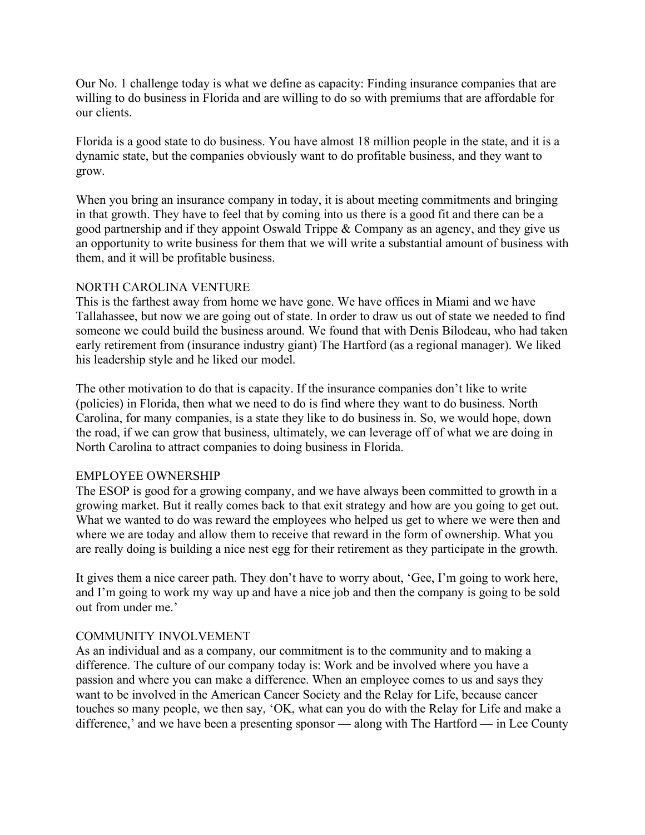Our No. 1 challenge today is what we define as capacity: Finding insurance companies that are willing to do business in Florida and are willing to do so with premiums that are affordable for our clients.

Florida is a good state to do business. You have almost 18 million people in the state, and it is a dynamic state, but the companies obviously want to do profitable business, and they want to grow.

When you bring an insurance company in today, it is about meeting commitments and bringing in that growth. They have to feel that by coming into us there is a good fit and there can be a good partnership and if they appoint Oswald Trippe & Company as an agency, and they give us an opportunity to write business for them that we will write a substantial amount of business with them, and it will be profitable business.

# NORTH CAROLINA VENTURE

This is the farthest away from home we have gone. We have offices in Miami and we have Tallahassee, but now we are going out of state. In order to draw us out of state we needed to find someone we could build the business around. We found that with Denis Bilodeau, who had taken early retirement from (insurance industry giant) The Hartford (as a regional manager). We liked his leadership style and he liked our model.

The other motivation to do that is capacity. If the insurance companies don't like to write (policies) in Florida, then what we need to do is find where they want to do business. North Carolina, for many companies, is a state they like to do business in. So, we would hope, down the road, if we can grow that business, ultimately, we can leverage off of what we are doing in North Carolina to attract companies to doing business in Florida.

# EMPLOYEE OWNERSHIP

The ESOP is good for a growing company, and we have always been committed to growth in a growing market. But it really comes back to that exit strategy and how are you going to get out. What we wanted to do was reward the employees who helped us get to where we were then and where we are today and allow them to receive that reward in the form of ownership. What you are really doing is building a nice nest egg for their retirement as they participate in the growth.

It gives them a nice career path. They don't have to worry about, 'Gee, I'm going to work here, and I'm going to work my way up and have a nice job and then the company is going to be sold out from under me.'

# COMMUNITY INVOLVEMENT

As an individual and as a company, our commitment is to the community and to making a difference. The culture of our company today is: Work and be involved where you have a passion and where you can make a difference. When an employee comes to us and says they want to be involved in the American Cancer Society and the Relay for Life, because cancer touches so many people, we then say, 'OK, what can you do with the Relay for Life and make a difference,' and we have been a presenting sponsor — along with The Hartford — in Lee County